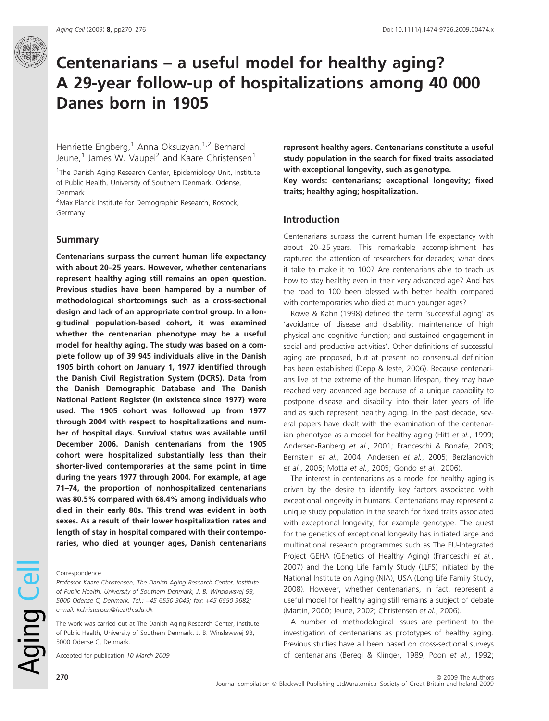# Centenarians – a useful model for healthy aging? A 29-year follow-up of hospitalizations among 40 000 Danes born in 1905

Henriette Engberg,<sup>1</sup> Anna Oksuzyan,<sup>1,2</sup> Bernard Jeune,<sup>1</sup> James W. Vaupel<sup>2</sup> and Kaare Christensen<sup>1</sup>

<sup>1</sup>The Danish Aging Research Center, Epidemiology Unit, Institute of Public Health, University of Southern Denmark, Odense, Denmark

<sup>2</sup>Max Planck Institute for Demographic Research, Rostock, Germany

### Summary

Centenarians surpass the current human life expectancy with about 20–25 years. However, whether centenarians represent healthy aging still remains an open question. Previous studies have been hampered by a number of methodological shortcomings such as a cross-sectional design and lack of an appropriate control group. In a longitudinal population-based cohort, it was examined whether the centenarian phenotype may be a useful model for healthy aging. The study was based on a complete follow up of 39 945 individuals alive in the Danish 1905 birth cohort on January 1, 1977 identified through the Danish Civil Registration System (DCRS). Data from the Danish Demographic Database and The Danish National Patient Register (in existence since 1977) were used. The 1905 cohort was followed up from 1977 through 2004 with respect to hospitalizations and number of hospital days. Survival status was available until December 2006. Danish centenarians from the 1905 cohort were hospitalized substantially less than their shorter-lived contemporaries at the same point in time during the years 1977 through 2004. For example, at age 71–74, the proportion of nonhospitalized centenarians was 80.5% compared with 68.4% among individuals who died in their early 80s. This trend was evident in both sexes. As a result of their lower hospitalization rates and length of stay in hospital compared with their contemporaries, who died at younger ages, Danish centenarians

#### Correspondence

Professor Kaare Christensen, The Danish Aging Research Center, Institute of Public Health, University of Southern Denmark, J. B. Winsløwsvej 9B, 5000 Odense C, Denmark. Tel.: +45 6550 3049; fax: +45 6550 3682; e-mail: kchristensen@health.sdu.dk

The work was carried out at The Danish Aging Research Center, Institute of Public Health, University of Southern Denmark, J. B. Winsløwsvej 9B, 5000 Odense C, Denmark.

Accepted for publication 10 March 2009

represent healthy agers. Centenarians constitute a useful study population in the search for fixed traits associated with exceptional longevity, such as genotype. Key words: centenarians; exceptional longevity; fixed traits; healthy aging; hospitalization.

## Introduction

Centenarians surpass the current human life expectancy with about 20–25 years. This remarkable accomplishment has captured the attention of researchers for decades; what does it take to make it to 100? Are centenarians able to teach us how to stay healthy even in their very advanced age? And has the road to 100 been blessed with better health compared with contemporaries who died at much younger ages?

Rowe & Kahn (1998) defined the term 'successful aging' as 'avoidance of disease and disability; maintenance of high physical and cognitive function; and sustained engagement in social and productive activities'. Other definitions of successful aging are proposed, but at present no consensual definition has been established (Depp & Jeste, 2006). Because centenarians live at the extreme of the human lifespan, they may have reached very advanced age because of a unique capability to postpone disease and disability into their later years of life and as such represent healthy aging. In the past decade, several papers have dealt with the examination of the centenarian phenotype as a model for healthy aging (Hitt et al., 1999; Andersen-Ranberg et al., 2001; Franceschi & Bonafe, 2003; Bernstein et al., 2004; Andersen et al., 2005; Berzlanovich et al., 2005; Motta et al., 2005; Gondo et al., 2006).

The interest in centenarians as a model for healthy aging is driven by the desire to identify key factors associated with exceptional longevity in humans. Centenarians may represent a unique study population in the search for fixed traits associated with exceptional longevity, for example genotype. The quest for the genetics of exceptional longevity has initiated large and multinational research programmes such as The EU-Integrated Project GEHA (GEnetics of Healthy Aging) (Franceschi et al., 2007) and the Long Life Family Study (LLFS) initiated by the National Institute on Aging (NIA), USA (Long Life Family Study, 2008). However, whether centenarians, in fact, represent a useful model for healthy aging still remains a subject of debate (Martin, 2000; Jeune, 2002; Christensen et al., 2006).

A number of methodological issues are pertinent to the investigation of centenarians as prototypes of healthy aging. Previous studies have all been based on cross-sectional surveys of centenarians (Beregi & Klinger, 1989; Poon et al., 1992;

Aging Cell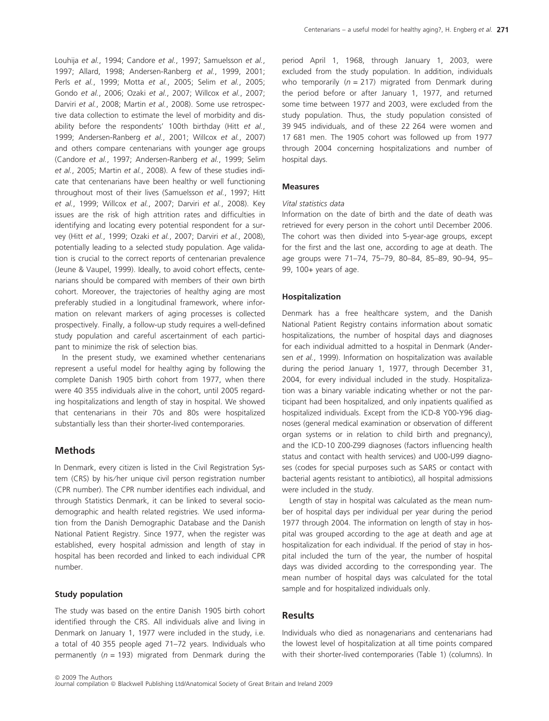Louhija et al., 1994; Candore et al., 1997; Samuelsson et al., 1997; Allard, 1998; Andersen-Ranberg et al., 1999, 2001; Perls et al., 1999; Motta et al., 2005; Selim et al., 2005; Gondo et al., 2006; Ozaki et al., 2007; Willcox et al., 2007; Darviri et al., 2008; Martin et al., 2008). Some use retrospective data collection to estimate the level of morbidity and disability before the respondents' 100th birthday (Hitt et al., 1999; Andersen-Ranberg et al., 2001; Willcox et al., 2007) and others compare centenarians with younger age groups (Candore et al., 1997; Andersen-Ranberg et al., 1999; Selim et al., 2005; Martin et al., 2008). A few of these studies indicate that centenarians have been healthy or well functioning throughout most of their lives (Samuelsson et al., 1997; Hitt et al., 1999; Willcox et al., 2007; Darviri et al., 2008). Key issues are the risk of high attrition rates and difficulties in identifying and locating every potential respondent for a survey (Hitt et al., 1999; Ozaki et al., 2007; Darviri et al., 2008), potentially leading to a selected study population. Age validation is crucial to the correct reports of centenarian prevalence (Jeune & Vaupel, 1999). Ideally, to avoid cohort effects, centenarians should be compared with members of their own birth cohort. Moreover, the trajectories of healthy aging are most preferably studied in a longitudinal framework, where information on relevant markers of aging processes is collected prospectively. Finally, a follow-up study requires a well-defined study population and careful ascertainment of each participant to minimize the risk of selection bias.

In the present study, we examined whether centenarians represent a useful model for healthy aging by following the complete Danish 1905 birth cohort from 1977, when there were 40 355 individuals alive in the cohort, until 2005 regarding hospitalizations and length of stay in hospital. We showed that centenarians in their 70s and 80s were hospitalized substantially less than their shorter-lived contemporaries.

## **Methods**

In Denmark, every citizen is listed in the Civil Registration System (CRS) by his⁄ her unique civil person registration number (CPR number). The CPR number identifies each individual, and through Statistics Denmark, it can be linked to several sociodemographic and health related registries. We used information from the Danish Demographic Database and the Danish National Patient Registry. Since 1977, when the register was established, every hospital admission and length of stay in hospital has been recorded and linked to each individual CPR number.

#### Study population

The study was based on the entire Danish 1905 birth cohort identified through the CRS. All individuals alive and living in Denmark on January 1, 1977 were included in the study, i.e. a total of 40 355 people aged 71–72 years. Individuals who permanently ( $n = 193$ ) migrated from Denmark during the

period April 1, 1968, through January 1, 2003, were excluded from the study population. In addition, individuals who temporarily ( $n = 217$ ) migrated from Denmark during the period before or after January 1, 1977, and returned some time between 1977 and 2003, were excluded from the study population. Thus, the study population consisted of 39 945 individuals, and of these 22 264 were women and 17 681 men. The 1905 cohort was followed up from 1977 through 2004 concerning hospitalizations and number of hospital days.

#### Measures

#### Vital statistics data

Information on the date of birth and the date of death was retrieved for every person in the cohort until December 2006. The cohort was then divided into 5-year-age groups, except for the first and the last one, according to age at death. The age groups were 71–74, 75–79, 80–84, 85–89, 90–94, 95– 99, 100+ years of age.

#### Hospitalization

Denmark has a free healthcare system, and the Danish National Patient Registry contains information about somatic hospitalizations, the number of hospital days and diagnoses for each individual admitted to a hospital in Denmark (Andersen et al., 1999). Information on hospitalization was available during the period January 1, 1977, through December 31, 2004, for every individual included in the study. Hospitalization was a binary variable indicating whether or not the participant had been hospitalized, and only inpatients qualified as hospitalized individuals. Except from the ICD-8 Y00-Y96 diagnoses (general medical examination or observation of different organ systems or in relation to child birth and pregnancy), and the ICD-10 Z00-Z99 diagnoses (factors influencing health status and contact with health services) and U00-U99 diagnoses (codes for special purposes such as SARS or contact with bacterial agents resistant to antibiotics), all hospital admissions were included in the study.

Length of stay in hospital was calculated as the mean number of hospital days per individual per year during the period 1977 through 2004. The information on length of stay in hospital was grouped according to the age at death and age at hospitalization for each individual. If the period of stay in hospital included the turn of the year, the number of hospital days was divided according to the corresponding year. The mean number of hospital days was calculated for the total sample and for hospitalized individuals only.

## Results

Individuals who died as nonagenarians and centenarians had the lowest level of hospitalization at all time points compared with their shorter-lived contemporaries (Table 1) (columns). In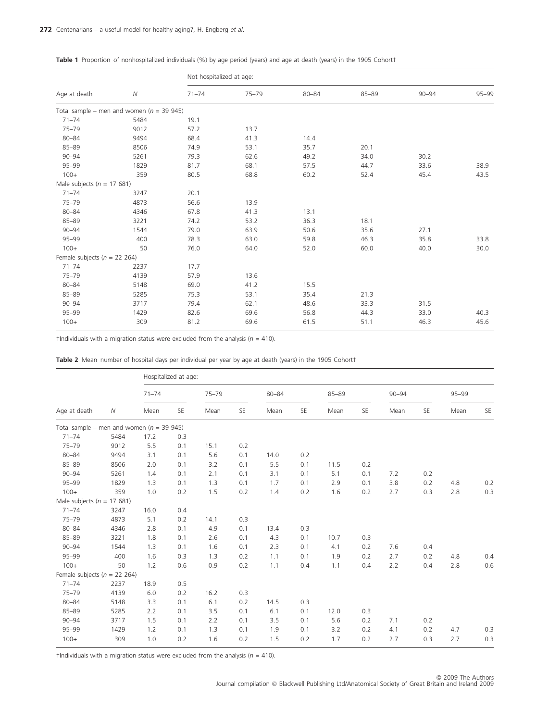## Table 1 Proportion of nonhospitalized individuals (%) by age period (years) and age at death (years) in the 1905 Cohortt

|                                   |                                              | Not hospitalized at age: |           |           |           |           |           |  |  |  |  |  |  |
|-----------------------------------|----------------------------------------------|--------------------------|-----------|-----------|-----------|-----------|-----------|--|--|--|--|--|--|
| Age at death                      | $\overline{N}$                               | $71 - 74$                | $75 - 79$ | $80 - 84$ | $85 - 89$ | $90 - 94$ | $95 - 99$ |  |  |  |  |  |  |
|                                   | Total sample – men and women ( $n = 39945$ ) |                          |           |           |           |           |           |  |  |  |  |  |  |
| $71 - 74$                         | 5484                                         | 19.1                     |           |           |           |           |           |  |  |  |  |  |  |
| $75 - 79$                         | 9012                                         | 57.2                     | 13.7      |           |           |           |           |  |  |  |  |  |  |
| $80 - 84$                         | 9494                                         | 68.4                     | 41.3      | 14.4      |           |           |           |  |  |  |  |  |  |
| $85 - 89$                         | 8506                                         | 74.9                     | 53.1      | 35.7      | 20.1      |           |           |  |  |  |  |  |  |
| $90 - 94$                         | 5261                                         | 79.3                     | 62.6      | 49.2      | 34.0      | 30.2      |           |  |  |  |  |  |  |
| $95 - 99$                         | 1829                                         | 81.7                     | 68.1      | 57.5      | 44.7      | 33.6      | 38.9      |  |  |  |  |  |  |
| $100+$                            | 359                                          | 80.5                     | 68.8      | 60.2      | 52.4      | 45.4      | 43.5      |  |  |  |  |  |  |
| Male subjects ( $n = 17681$ )     |                                              |                          |           |           |           |           |           |  |  |  |  |  |  |
| $71 - 74$                         | 3247                                         | 20.1                     |           |           |           |           |           |  |  |  |  |  |  |
| $75 - 79$                         | 4873                                         | 56.6                     | 13.9      |           |           |           |           |  |  |  |  |  |  |
| $80 - 84$                         | 4346                                         | 67.8                     | 41.3      | 13.1      |           |           |           |  |  |  |  |  |  |
| $85 - 89$                         | 3221                                         | 74.2                     | 53.2      | 36.3      | 18.1      |           |           |  |  |  |  |  |  |
| $90 - 94$                         | 1544                                         | 79.0                     | 63.9      | 50.6      | 35.6      | 27.1      |           |  |  |  |  |  |  |
| $95 - 99$                         | 400                                          | 78.3                     | 63.0      | 59.8      | 46.3      | 35.8      | 33.8      |  |  |  |  |  |  |
| $100+$                            | 50                                           | 76.0                     | 64.0      | 52.0      | 60.0      | 40.0      | 30.0      |  |  |  |  |  |  |
| Female subjects ( $n = 22, 264$ ) |                                              |                          |           |           |           |           |           |  |  |  |  |  |  |
| $71 - 74$                         | 2237                                         | 17.7                     |           |           |           |           |           |  |  |  |  |  |  |
| $75 - 79$                         | 4139                                         | 57.9                     | 13.6      |           |           |           |           |  |  |  |  |  |  |
| $80 - 84$                         | 5148                                         | 69.0                     | 41.2      | 15.5      |           |           |           |  |  |  |  |  |  |
| $85 - 89$                         | 5285                                         | 75.3                     | 53.1      | 35.4      | 21.3      |           |           |  |  |  |  |  |  |
| $90 - 94$                         | 3717                                         | 79.4                     | 62.1      | 48.6      | 33.3      | 31.5      |           |  |  |  |  |  |  |
| $95 - 99$                         | 1429                                         | 82.6                     | 69.6      | 56.8      | 44.3      | 33.0      | 40.3      |  |  |  |  |  |  |
| $100+$                            | 309                                          | 81.2                     | 69.6      | 61.5      | 51.1      | 46.3      | 45.6      |  |  |  |  |  |  |

†Individuals with a migration status were excluded from the analysis ( $n = 410$ ).

| Age at death                                 |      | Hospitalized at age: |           |           |     |           |     |           |     |           |     |       |         |  |  |
|----------------------------------------------|------|----------------------|-----------|-----------|-----|-----------|-----|-----------|-----|-----------|-----|-------|---------|--|--|
|                                              |      | $71 - 74$            |           | $75 - 79$ |     | $80 - 84$ |     | $85 - 89$ |     | $90 - 94$ |     | 95-99 |         |  |  |
|                                              | Ν    | Mean                 | <b>SE</b> | Mean      | SE  | Mean      | SE  | Mean      | SE  | Mean      | SE  | Mean  | SE      |  |  |
| Total sample – men and women ( $n = 39945$ ) |      |                      |           |           |     |           |     |           |     |           |     |       |         |  |  |
| $71 - 74$                                    | 5484 | 17.2                 | 0.3       |           |     |           |     |           |     |           |     |       |         |  |  |
| $75 - 79$                                    | 9012 | 5.5                  | 0.1       | 15.1      | 0.2 |           |     |           |     |           |     |       |         |  |  |
| $80 - 84$                                    | 9494 | 3.1                  | 0.1       | 5.6       | 0.1 | 14.0      | 0.2 |           |     |           |     |       |         |  |  |
| $85 - 89$                                    | 8506 | 2.0                  | 0.1       | 3.2       | 0.1 | 5.5       | 0.1 | 11.5      | 0.2 |           |     |       |         |  |  |
| $90 - 94$                                    | 5261 | 1.4                  | 0.1       | 2.1       | 0.1 | 3.1       | 0.1 | 5.1       | 0.1 | 7.2       | 0.2 |       |         |  |  |
| $95 - 99$                                    | 1829 | 1.3                  | 0.1       | 1.3       | 0.1 | 1.7       | 0.1 | 2.9       | 0.1 | 3.8       | 0.2 | 4.8   | $0.2\,$ |  |  |
| $100+$                                       | 359  | 1.0                  | 0.2       | 1.5       | 0.2 | 1.4       | 0.2 | 1.6       | 0.2 | 2.7       | 0.3 | 2.8   | 0.3     |  |  |
| Male subjects ( $n = 17681$ )                |      |                      |           |           |     |           |     |           |     |           |     |       |         |  |  |
| $71 - 74$                                    | 3247 | 16.0                 | 0.4       |           |     |           |     |           |     |           |     |       |         |  |  |
| $75 - 79$                                    | 4873 | 5.1                  | 0.2       | 14.1      | 0.3 |           |     |           |     |           |     |       |         |  |  |
| $80 - 84$                                    | 4346 | 2.8                  | 0.1       | 4.9       | 0.1 | 13.4      | 0.3 |           |     |           |     |       |         |  |  |
| $85 - 89$                                    | 3221 | 1.8                  | 0.1       | 2.6       | 0.1 | 4.3       | 0.1 | 10.7      | 0.3 |           |     |       |         |  |  |
| $90 - 94$                                    | 1544 | 1.3                  | 0.1       | 1.6       | 0.1 | 2.3       | 0.1 | 4.1       | 0.2 | 7.6       | 0.4 |       |         |  |  |
| $95 - 99$                                    | 400  | 1.6                  | 0.3       | 1.3       | 0.2 | 1.1       | 0.1 | 1.9       | 0.2 | 2.7       | 0.2 | 4.8   | 0.4     |  |  |
| $100+$                                       | 50   | 1.2                  | 0.6       | 0.9       | 0.2 | 1.1       | 0.4 | 1.1       | 0.4 | 2.2       | 0.4 | 2.8   | 0.6     |  |  |
| Female subjects ( $n = 22, 264$ )            |      |                      |           |           |     |           |     |           |     |           |     |       |         |  |  |
| $71 - 74$                                    | 2237 | 18.9                 | 0.5       |           |     |           |     |           |     |           |     |       |         |  |  |
| $75 - 79$                                    | 4139 | 6.0                  | 0.2       | 16.2      | 0.3 |           |     |           |     |           |     |       |         |  |  |
| $80 - 84$                                    | 5148 | 3.3                  | 0.1       | 6.1       | 0.2 | 14.5      | 0.3 |           |     |           |     |       |         |  |  |
| $85 - 89$                                    | 5285 | 2.2                  | 0.1       | 3.5       | 0.1 | 6.1       | 0.1 | 12.0      | 0.3 |           |     |       |         |  |  |
| $90 - 94$                                    | 3717 | 1.5                  | 0.1       | 2.2       | 0.1 | 3.5       | 0.1 | 5.6       | 0.2 | 7.1       | 0.2 |       |         |  |  |
| $95 - 99$                                    | 1429 | 1.2                  | 0.1       | 1.3       | 0.1 | 1.9       | 0.1 | 3.2       | 0.2 | 4.1       | 0.2 | 4.7   | 0.3     |  |  |
| $100+$                                       | 309  | 1.0                  | 0.2       | 1.6       | 0.2 | 1.5       | 0.2 | 1.7       | 0.2 | 2.7       | 0.3 | 2.7   | 0.3     |  |  |

†Individuals with a migration status were excluded from the analysis ( $n = 410$ ).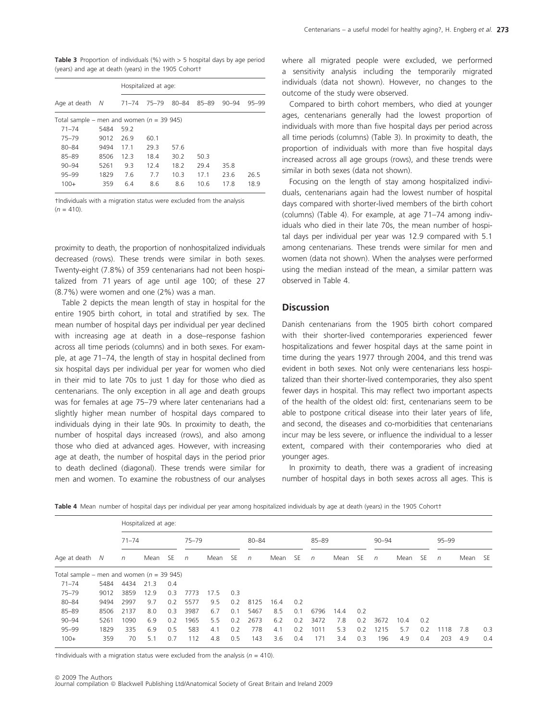**Table 3** Proportion of individuals (%) with  $>$  5 hospital days by age period (years) and age at death (years) in the 1905 Cohort†

|                                              |      | Hospitalized at age: |       |           |           |           |       |  |  |  |  |  |  |
|----------------------------------------------|------|----------------------|-------|-----------|-----------|-----------|-------|--|--|--|--|--|--|
| Age at death                                 | - N  | $71 - 74$            | 75-79 | $80 - 84$ | $85 - 89$ | $90 - 94$ | 95-99 |  |  |  |  |  |  |
| Total sample – men and women ( $n = 39945$ ) |      |                      |       |           |           |           |       |  |  |  |  |  |  |
| $71 - 74$                                    | 5484 | 59.2                 |       |           |           |           |       |  |  |  |  |  |  |
| $75 - 79$                                    | 9012 | 26.9<br>60.1         |       |           |           |           |       |  |  |  |  |  |  |
| $80 - 84$                                    | 9494 | 57.6<br>29.3<br>17.1 |       |           |           |           |       |  |  |  |  |  |  |
| 85-89                                        | 8506 | 12.3                 | 18.4  | 30.2      | 50.3      |           |       |  |  |  |  |  |  |
| $90 - 94$                                    | 5261 | 9.3                  | 12.4  | 18.2      | 29.4      | 35.8      |       |  |  |  |  |  |  |
| 95-99                                        | 1829 | 7.6                  | 7.7   | 10.3      | 17.1      | 23.6      | 26.5  |  |  |  |  |  |  |
| $100+$<br>359                                |      | 6.4                  | 8.6   | 8.6       | 10.6      | 17.8      | 18.9  |  |  |  |  |  |  |

†Individuals with a migration status were excluded from the analysis  $(n = 410)$ .

proximity to death, the proportion of nonhospitalized individuals decreased (rows). These trends were similar in both sexes. Twenty-eight (7.8%) of 359 centenarians had not been hospitalized from 71 years of age until age 100; of these 27 (8.7%) were women and one (2%) was a man.

Table 2 depicts the mean length of stay in hospital for the entire 1905 birth cohort, in total and stratified by sex. The mean number of hospital days per individual per year declined with increasing age at death in a dose–response fashion across all time periods (columns) and in both sexes. For example, at age 71–74, the length of stay in hospital declined from six hospital days per individual per year for women who died in their mid to late 70s to just 1 day for those who died as centenarians. The only exception in all age and death groups was for females at age 75–79 where later centenarians had a slightly higher mean number of hospital days compared to individuals dying in their late 90s. In proximity to death, the number of hospital days increased (rows), and also among those who died at advanced ages. However, with increasing age at death, the number of hospital days in the period prior to death declined (diagonal). These trends were similar for men and women. To examine the robustness of our analyses where all migrated people were excluded, we performed a sensitivity analysis including the temporarily migrated individuals (data not shown). However, no changes to the outcome of the study were observed.

Compared to birth cohort members, who died at younger ages, centenarians generally had the lowest proportion of individuals with more than five hospital days per period across all time periods (columns) (Table 3). In proximity to death, the proportion of individuals with more than five hospital days increased across all age groups (rows), and these trends were similar in both sexes (data not shown).

Focusing on the length of stay among hospitalized individuals, centenarians again had the lowest number of hospital days compared with shorter-lived members of the birth cohort (columns) (Table 4). For example, at age 71–74 among individuals who died in their late 70s, the mean number of hospital days per individual per year was 12.9 compared with 5.1 among centenarians. These trends were similar for men and women (data not shown). When the analyses were performed using the median instead of the mean, a similar pattern was observed in Table 4.

## Discussion

Danish centenarians from the 1905 birth cohort compared with their shorter-lived contemporaries experienced fewer hospitalizations and fewer hospital days at the same point in time during the years 1977 through 2004, and this trend was evident in both sexes. Not only were centenarians less hospitalized than their shorter-lived contemporaries, they also spent fewer days in hospital. This may reflect two important aspects of the health of the oldest old: first, centenarians seem to be able to postpone critical disease into their later years of life, and second, the diseases and co-morbidities that centenarians incur may be less severe, or influence the individual to a lesser extent, compared with their contemporaries who died at younger ages.

In proximity to death, there was a gradient of increasing number of hospital days in both sexes across all ages. This is

| Age at death $N$ n                         |           |  | Hospitalized at age: |  |       |                  |       |  |                  |       |  |                  |       |  |                  |  |  |         |  |
|--------------------------------------------|-----------|--|----------------------|--|-------|------------------|-------|--|------------------|-------|--|------------------|-------|--|------------------|--|--|---------|--|
|                                            | $71 - 74$ |  | 75–79                |  | 80-84 |                  | 85–89 |  |                  | 90–94 |  |                  | 95–99 |  |                  |  |  |         |  |
|                                            |           |  | Mean SE <i>n</i>     |  |       | Mean SE <i>n</i> |       |  | Mean SE <i>n</i> |       |  | Mean SE <i>n</i> |       |  | Mean SE <i>n</i> |  |  | Mean SE |  |
| Total sample – men and women $(n = 39945)$ |           |  |                      |  |       |                  |       |  |                  |       |  |                  |       |  |                  |  |  |         |  |

95–99 1829 335 6.9 0.5 583 4.1 0.2 778 4.1 0.2 1011 5.3 0.2 1215 5.7 0.2 1118 7.8 0.3 100+ 359 70 5.1 0.7 112 4.8 0.5 143 3.6 0.4 171 3.4 0.3 196 4.9 0.4 203 4.9 0.4

Table 4 Mean number of hospital days per individual per year among hospitalized individuals by age at death (years) in the 1905 Cohortt

90–94 5261 1090 6.9 0.2 1965 5.5 0.2 2673 6.2 0.2 3472 7.8 0.2 3672 10.4 0.2

†Individuals with a migration status were excluded from the analysis ( $n = 410$ ).

75–79 9012 3859 12.9 0.3 7773 17.5 0.3

71–74 5484 4434 21.3 0.4

80–84 9494 2997 9.7 0.2 5577 9.5 0.2 8125 16.4 0.2

85–89 8506 2137 8.0 0.3 3987 6.7 0.1 5467 8.5 0.1 6796 14.4 0.2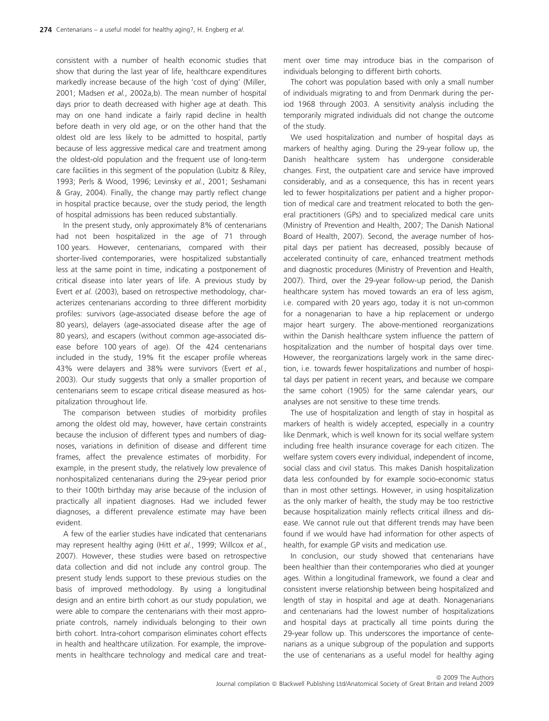consistent with a number of health economic studies that show that during the last year of life, healthcare expenditures markedly increase because of the high 'cost of dying' (Miller, 2001; Madsen et al., 2002a,b). The mean number of hospital days prior to death decreased with higher age at death. This may on one hand indicate a fairly rapid decline in health before death in very old age, or on the other hand that the oldest old are less likely to be admitted to hospital, partly because of less aggressive medical care and treatment among the oldest-old population and the frequent use of long-term care facilities in this segment of the population (Lubitz & Riley, 1993; Perls & Wood, 1996; Levinsky et al., 2001; Seshamani & Gray, 2004). Finally, the change may partly reflect change in hospital practice because, over the study period, the length of hospital admissions has been reduced substantially.

In the present study, only approximately 8% of centenarians had not been hospitalized in the age of 71 through 100 years. However, centenarians, compared with their shorter-lived contemporaries, were hospitalized substantially less at the same point in time, indicating a postponement of critical disease into later years of life. A previous study by Evert et al. (2003), based on retrospective methodology, characterizes centenarians according to three different morbidity profiles: survivors (age-associated disease before the age of 80 years), delayers (age-associated disease after the age of 80 years), and escapers (without common age-associated disease before 100 years of age). Of the 424 centenarians included in the study, 19% fit the escaper profile whereas 43% were delayers and 38% were survivors (Evert et al., 2003). Our study suggests that only a smaller proportion of centenarians seem to escape critical disease measured as hospitalization throughout life.

The comparison between studies of morbidity profiles among the oldest old may, however, have certain constraints because the inclusion of different types and numbers of diagnoses, variations in definition of disease and different time frames, affect the prevalence estimates of morbidity. For example, in the present study, the relatively low prevalence of nonhospitalized centenarians during the 29-year period prior to their 100th birthday may arise because of the inclusion of practically all inpatient diagnoses. Had we included fewer diagnoses, a different prevalence estimate may have been evident.

A few of the earlier studies have indicated that centenarians may represent healthy aging (Hitt et al., 1999; Willcox et al., 2007). However, these studies were based on retrospective data collection and did not include any control group. The present study lends support to these previous studies on the basis of improved methodology. By using a longitudinal design and an entire birth cohort as our study population, we were able to compare the centenarians with their most appropriate controls, namely individuals belonging to their own birth cohort. Intra-cohort comparison eliminates cohort effects in health and healthcare utilization. For example, the improvements in healthcare technology and medical care and treat-

ment over time may introduce bias in the comparison of individuals belonging to different birth cohorts.

The cohort was population based with only a small number of individuals migrating to and from Denmark during the period 1968 through 2003. A sensitivity analysis including the temporarily migrated individuals did not change the outcome of the study.

We used hospitalization and number of hospital days as markers of healthy aging. During the 29-year follow up, the Danish healthcare system has undergone considerable changes. First, the outpatient care and service have improved considerably, and as a consequence, this has in recent years led to fewer hospitalizations per patient and a higher proportion of medical care and treatment relocated to both the general practitioners (GPs) and to specialized medical care units (Ministry of Prevention and Health, 2007; The Danish National Board of Health, 2007). Second, the average number of hospital days per patient has decreased, possibly because of accelerated continuity of care, enhanced treatment methods and diagnostic procedures (Ministry of Prevention and Health, 2007). Third, over the 29-year follow-up period, the Danish healthcare system has moved towards an era of less agism, i.e. compared with 20 years ago, today it is not un-common for a nonagenarian to have a hip replacement or undergo major heart surgery. The above-mentioned reorganizations within the Danish healthcare system influence the pattern of hospitalization and the number of hospital days over time. However, the reorganizations largely work in the same direction, i.e. towards fewer hospitalizations and number of hospital days per patient in recent years, and because we compare the same cohort (1905) for the same calendar years, our analyses are not sensitive to these time trends.

The use of hospitalization and length of stay in hospital as markers of health is widely accepted, especially in a country like Denmark, which is well known for its social welfare system including free health insurance coverage for each citizen. The welfare system covers every individual, independent of income, social class and civil status. This makes Danish hospitalization data less confounded by for example socio-economic status than in most other settings. However, in using hospitalization as the only marker of health, the study may be too restrictive because hospitalization mainly reflects critical illness and disease. We cannot rule out that different trends may have been found if we would have had information for other aspects of health, for example GP visits and medication use.

In conclusion, our study showed that centenarians have been healthier than their contemporaries who died at younger ages. Within a longitudinal framework, we found a clear and consistent inverse relationship between being hospitalized and length of stay in hospital and age at death. Nonagenarians and centenarians had the lowest number of hospitalizations and hospital days at practically all time points during the 29-year follow up. This underscores the importance of centenarians as a unique subgroup of the population and supports the use of centenarians as a useful model for healthy aging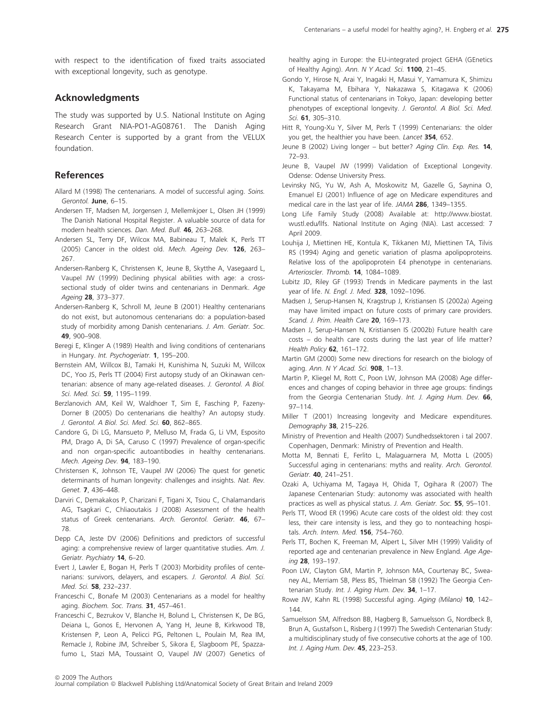with respect to the identification of fixed traits associated with exceptional longevity, such as genotype.

## Acknowledgments

The study was supported by U.S. National Institute on Aging Research Grant NIA-PO1-AG08761. The Danish Aging Research Center is supported by a grant from the VELUX foundation.

## References

- Allard M (1998) The centenarians. A model of successful aging. Soins. Gerontol. June, 6–15.
- Andersen TF, Madsen M, Jorgensen J, Mellemkjoer L, Olsen JH (1999) The Danish National Hospital Register. A valuable source of data for modern health sciences. Dan. Med. Bull. 46, 263–268.
- Andersen SL, Terry DF, Wilcox MA, Babineau T, Malek K, Perls TT (2005) Cancer in the oldest old. Mech. Ageing Dev. 126, 263– 267.
- Andersen-Ranberg K, Christensen K, Jeune B, Skytthe A, Vasegaard L, Vaupel JW (1999) Declining physical abilities with age: a crosssectional study of older twins and centenarians in Denmark. Age Ageing 28, 373–377.
- Andersen-Ranberg K, Schroll M, Jeune B (2001) Healthy centenarians do not exist, but autonomous centenarians do: a population-based study of morbidity among Danish centenarians. J. Am. Geriatr. Soc. 49, 900–908.
- Beregi E, Klinger A (1989) Health and living conditions of centenarians in Hungary. Int. Psychogeriatr. 1, 195-200.
- Bernstein AM, Willcox BJ, Tamaki H, Kunishima N, Suzuki M, Willcox DC, Yoo JS, Perls TT (2004) First autopsy study of an Okinawan centenarian: absence of many age-related diseases. J. Gerontol. A Biol. Sci. Med. Sci. 59, 1195-1199.
- Berzlanovich AM, Keil W, Waldhoer T, Sim E, Fasching P, Fazeny-Dorner B (2005) Do centenarians die healthy? An autopsy study. J. Gerontol. A Biol. Sci. Med. Sci. 60, 862-865.
- Candore G, Di LG, Mansueto P, Melluso M, Frada G, Li VM, Esposito PM, Drago A, Di SA, Caruso C (1997) Prevalence of organ-specific and non organ-specific autoantibodies in healthy centenarians. Mech. Ageing Dev. 94, 183–190.
- Christensen K, Johnson TE, Vaupel JW (2006) The quest for genetic determinants of human longevity: challenges and insights. Nat. Rev. Genet. 7, 436–448.
- Darviri C, Demakakos P, Charizani F, Tigani X, Tsiou C, Chalamandaris AG, Tsagkari C, Chliaoutakis J (2008) Assessment of the health status of Greek centenarians. Arch. Gerontol. Geriatr. 46, 67-78.
- Depp CA, Jeste DV (2006) Definitions and predictors of successful aging: a comprehensive review of larger quantitative studies. Am. J. Geriatr. Psychiatry 14, 6–20.
- Evert J, Lawler E, Bogan H, Perls T (2003) Morbidity profiles of centenarians: survivors, delayers, and escapers. J. Gerontol. A Biol. Sci. Med. Sci. 58, 232–237.
- Franceschi C, Bonafe M (2003) Centenarians as a model for healthy aging. Biochem. Soc. Trans. 31, 457-461.
- Franceschi C, Bezrukov V, Blanche H, Bolund L, Christensen K, De BG, Deiana L, Gonos E, Hervonen A, Yang H, Jeune B, Kirkwood TB, Kristensen P, Leon A, Pelicci PG, Peltonen L, Poulain M, Rea IM, Remacle J, Robine JM, Schreiber S, Sikora E, Slagboom PE, Spazzafumo L, Stazi MA, Toussaint O, Vaupel JW (2007) Genetics of

healthy aging in Europe: the EU-integrated project GEHA (GEnetics of Healthy Aging). Ann. N Y Acad. Sci. 1100, 21-45.

- Gondo Y, Hirose N, Arai Y, Inagaki H, Masui Y, Yamamura K, Shimizu K, Takayama M, Ebihara Y, Nakazawa S, Kitagawa K (2006) Functional status of centenarians in Tokyo, Japan: developing better phenotypes of exceptional longevity. J. Gerontol. A Biol. Sci. Med. Sci. 61, 305–310.
- Hitt R, Young-Xu Y, Silver M, Perls T (1999) Centenarians: the older you get, the healthier you have been. Lancet 354, 652.
- Jeune B (2002) Living longer but better? Aging Clin. Exp. Res. 14, 72–93.
- Jeune B, Vaupel JW (1999) Validation of Exceptional Longevity. Odense: Odense University Press.
- Levinsky NG, Yu W, Ash A, Moskowitz M, Gazelle G, Saynina O, Emanuel EJ (2001) Influence of age on Medicare expenditures and medical care in the last year of life. JAMA 286, 1349–1355.
- Long Life Family Study (2008) Available at: http://www.biostat. wustl.edu/llfs. National Institute on Aging (NIA). Last accessed: 7 April 2009.
- Louhija J, Miettinen HE, Kontula K, Tikkanen MJ, Miettinen TA, Tilvis RS (1994) Aging and genetic variation of plasma apolipoproteins. Relative loss of the apolipoprotein E4 phenotype in centenarians. Arterioscler. Thromb. 14, 1084–1089.
- Lubitz JD, Riley GF (1993) Trends in Medicare payments in the last year of life. N. Engl. J. Med. 328, 1092–1096.
- Madsen J, Serup-Hansen N, Kragstrup J, Kristiansen IS (2002a) Ageing may have limited impact on future costs of primary care providers. Scand. J. Prim. Health Care 20, 169-173.
- Madsen J, Serup-Hansen N, Kristiansen IS (2002b) Future health care costs – do health care costs during the last year of life matter? Health Policy  $62$ , 161–172.
- Martin GM (2000) Some new directions for research on the biology of aging. Ann. N Y Acad. Sci.  $908$ , 1-13.
- Martin P, Kliegel M, Rott C, Poon LW, Johnson MA (2008) Age differences and changes of coping behavior in three age groups: findings from the Georgia Centenarian Study. Int. J. Aging Hum. Dev. 66, 97–114.
- Miller T (2001) Increasing longevity and Medicare expenditures. Demography 38, 215–226.
- Ministry of Prevention and Health (2007) Sundhedssektoren i tal 2007. Copenhagen, Denmark: Ministry of Prevention and Health.
- Motta M, Bennati E, Ferlito L, Malaguarnera M, Motta L (2005) Successful aging in centenarians: myths and reality. Arch. Gerontol. Geriatr. 40, 241–251.
- Ozaki A, Uchiyama M, Tagaya H, Ohida T, Ogihara R (2007) The Japanese Centenarian Study: autonomy was associated with health practices as well as physical status. J. Am. Geriatr. Soc. 55, 95-101.
- Perls TT, Wood ER (1996) Acute care costs of the oldest old: they cost less, their care intensity is less, and they go to nonteaching hospitals. Arch. Intern. Med. 156, 754–760.
- Perls TT, Bochen K, Freeman M, Alpert L, Silver MH (1999) Validity of reported age and centenarian prevalence in New England. Age Ageing 28, 193–197.
- Poon LW, Clayton GM, Martin P, Johnson MA, Courtenay BC, Sweaney AL, Merriam SB, Pless BS, Thielman SB (1992) The Georgia Centenarian Study. Int. J. Aging Hum. Dev. 34, 1-17.
- Rowe JW, Kahn RL (1998) Successful aging. Aging (Milano) 10, 142– 144.
- Samuelsson SM, Alfredson BB, Hagberg B, Samuelsson G, Nordbeck B, Brun A, Gustafson L, Risberg J (1997) The Swedish Centenarian Study: a multidisciplinary study of five consecutive cohorts at the age of 100. Int. J. Aging Hum. Dev. 45, 223-253.